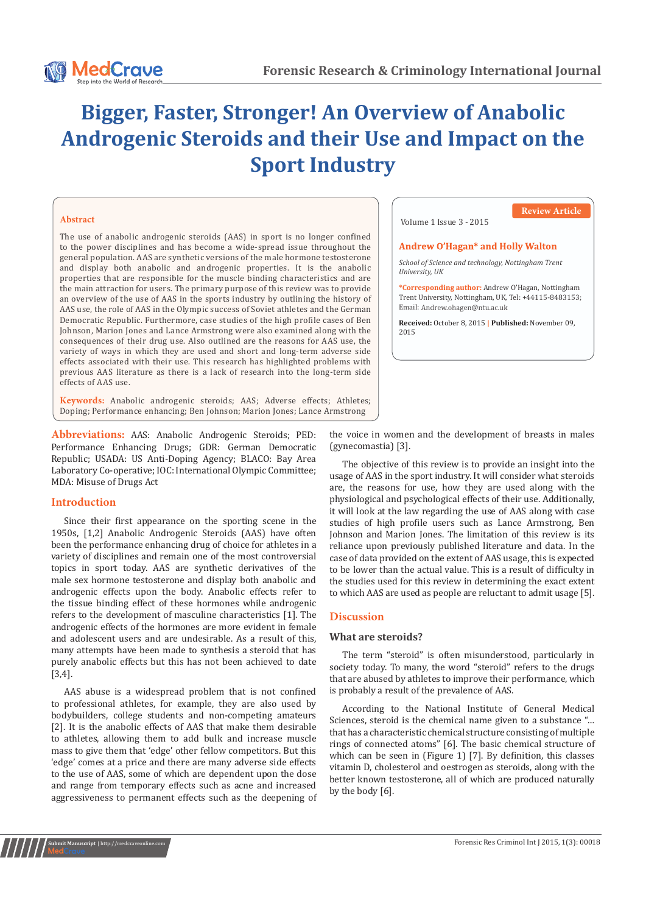

## **Abstract**

The use of anabolic androgenic steroids (AAS) in sport is no longer confined to the power disciplines and has become a wide-spread issue throughout the general population. AAS are synthetic versions of the male hormone testosterone and display both anabolic and androgenic properties. It is the anabolic properties that are responsible for the muscle binding characteristics and are the main attraction for users. The primary purpose of this review was to provide an overview of the use of AAS in the sports industry by outlining the history of AAS use, the role of AAS in the Olympic success of Soviet athletes and the German Democratic Republic. Furthermore, case studies of the high profile cases of Ben Johnson, Marion Jones and Lance Armstrong were also examined along with the consequences of their drug use. Also outlined are the reasons for AAS use, the variety of ways in which they are used and short and long-term adverse side effects associated with their use. This research has highlighted problems with previous AAS literature as there is a lack of research into the long-term side effects of AAS use.

**Keywords:** Anabolic androgenic steroids; AAS; Adverse effects; Athletes; Doping; Performance enhancing; Ben Johnson; Marion Jones; Lance Armstrong

**Abbreviations:** AAS: Anabolic Androgenic Steroids; PED: Performance Enhancing Drugs; GDR: German Democratic Republic; USADA: US Anti-Doping Agency; BLACO: Bay Area Laboratory Co-operative; IOC: International Olympic Committee; MDA: Misuse of Drugs Act

## **Introduction**

Since their first appearance on the sporting scene in the 1950s, [1,2] Anabolic Androgenic Steroids (AAS) have often been the performance enhancing drug of choice for athletes in a variety of disciplines and remain one of the most controversial topics in sport today. AAS are synthetic derivatives of the male sex hormone testosterone and display both anabolic and androgenic effects upon the body. Anabolic effects refer to the tissue binding effect of these hormones while androgenic refers to the development of masculine characteristics [1]. The androgenic effects of the hormones are more evident in female and adolescent users and are undesirable. As a result of this, many attempts have been made to synthesis a steroid that has purely anabolic effects but this has not been achieved to date [3,4].

AAS abuse is a widespread problem that is not confined to professional athletes, for example, they are also used by bodybuilders, college students and non-competing amateurs [2]. It is the anabolic effects of AAS that make them desirable to athletes, allowing them to add bulk and increase muscle mass to give them that 'edge' other fellow competitors. But this 'edge' comes at a price and there are many adverse side effects to the use of AAS, some of which are dependent upon the dose and range from temporary effects such as acne and increased aggressiveness to permanent effects such as the deepening of

#### Volume 1 Issue 3 - 2015

# **Review Article**

#### **Andrew O'Hagan\* and Holly Walton**

*School of Science and technology, Nottingham Trent University, UK*

**\*Corresponding author:** Andrew O'Hagan, Nottingham Trent University, Nottingham, UK, Tel: +44115-8483153; Email: Andrew.ohagen@ntu.ac.uk

**Received:** October 8, 2015 **| Published:** November 09, 2015

the voice in women and the development of breasts in males (gynecomastia) [3].

The objective of this review is to provide an insight into the usage of AAS in the sport industry. It will consider what steroids are, the reasons for use, how they are used along with the physiological and psychological effects of their use. Additionally, it will look at the law regarding the use of AAS along with case studies of high profile users such as Lance Armstrong, Ben Johnson and Marion Jones. The limitation of this review is its reliance upon previously published literature and data. In the case of data provided on the extent of AAS usage, this is expected to be lower than the actual value. This is a result of difficulty in the studies used for this review in determining the exact extent to which AAS are used as people are reluctant to admit usage [5].

## **Discussion**

#### **What are steroids?**

The term "steroid" is often misunderstood, particularly in society today. To many, the word "steroid" refers to the drugs that are abused by athletes to improve their performance, which is probably a result of the prevalence of AAS.

According to the National Institute of General Medical Sciences, steroid is the chemical name given to a substance "… that has a characteristic chemical structure consisting of multiple rings of connected atoms" [6]. The basic chemical structure of which can be seen in (Figure 1) [7]. By definition, this classes vitamin D, cholesterol and oestrogen as steroids, along with the better known testosterone, all of which are produced naturally by the body [6].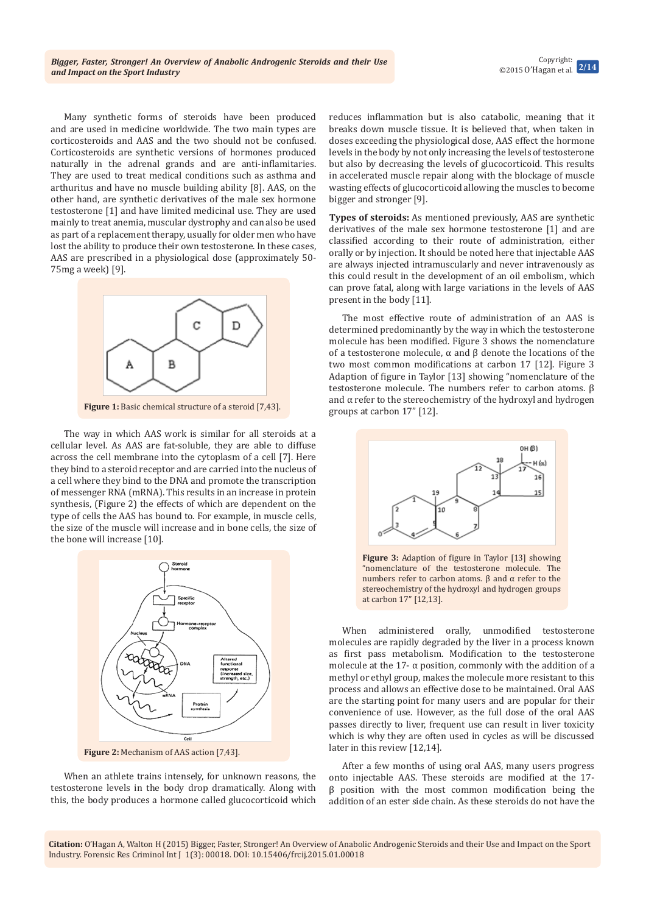Many synthetic forms of steroids have been produced and are used in medicine worldwide. The two main types are corticosteroids and AAS and the two should not be confused. Corticosteroids are synthetic versions of hormones produced naturally in the adrenal grands and are anti-inflamitaries. They are used to treat medical conditions such as asthma and arthuritus and have no muscle building ability [8]. AAS, on the other hand, are synthetic derivatives of the male sex hormone testosterone [1] and have limited medicinal use. They are used mainly to treat anemia, muscular dystrophy and can also be used as part of a replacement therapy, usually for older men who have lost the ability to produce their own testosterone. In these cases, AAS are prescribed in a physiological dose (approximately 50- 75mg a week) [9].



**Figure 1:** Basic chemical structure of a steroid [7,43].

The way in which AAS work is similar for all steroids at a cellular level. As AAS are fat-soluble, they are able to diffuse across the cell membrane into the cytoplasm of a cell [7]. Here they bind to a steroid receptor and are carried into the nucleus of a cell where they bind to the DNA and promote the transcription of messenger RNA (mRNA). This results in an increase in protein synthesis, (Figure 2) the effects of which are dependent on the type of cells the AAS has bound to. For example, in muscle cells, the size of the muscle will increase and in bone cells, the size of the bone will increase [10].



**Figure 2:** Mechanism of AAS action [7,43].

When an athlete trains intensely, for unknown reasons, the testosterone levels in the body drop dramatically. Along with this, the body produces a hormone called glucocorticoid which reduces inflammation but is also catabolic, meaning that it breaks down muscle tissue. It is believed that, when taken in doses exceeding the physiological dose, AAS effect the hormone levels in the body by not only increasing the levels of testosterone but also by decreasing the levels of glucocorticoid. This results in accelerated muscle repair along with the blockage of muscle wasting effects of glucocorticoid allowing the muscles to become bigger and stronger [9].

**Types of steroids:** As mentioned previously, AAS are synthetic derivatives of the male sex hormone testosterone [1] and are classified according to their route of administration, either orally or by injection. It should be noted here that injectable AAS are always injected intramuscularly and never intravenously as this could result in the development of an oil embolism, which can prove fatal, along with large variations in the levels of AAS present in the body [11].

The most effective route of administration of an AAS is determined predominantly by the way in which the testosterone molecule has been modified. Figure 3 shows the nomenclature of a testosterone molecule, α and β denote the locations of the two most common modifications at carbon 17 [12]. Figure 3 Adaption of figure in Taylor [13] showing "nomenclature of the testosterone molecule. The numbers refer to carbon atoms. β and  $\alpha$  refer to the stereochemistry of the hydroxyl and hydrogen groups at carbon 17" [12].



**Figure 3:** Adaption of figure in Taylor [13] showing "nomenclature of the testosterone molecule. The numbers refer to carbon atoms. β and α refer to the stereochemistry of the hydroxyl and hydrogen groups at carbon 17" [12,13].

When administered orally, unmodified testosterone molecules are rapidly degraded by the liver in a process known as first pass metabolism. Modification to the testosterone molecule at the 17- $\alpha$  position, commonly with the addition of a methyl or ethyl group, makes the molecule more resistant to this process and allows an effective dose to be maintained. Oral AAS are the starting point for many users and are popular for their convenience of use. However, as the full dose of the oral AAS passes directly to liver, frequent use can result in liver toxicity which is why they are often used in cycles as will be discussed later in this review [12,14].

After a few months of using oral AAS, many users progress onto injectable AAS. These steroids are modified at the 17 β position with the most common modification being the addition of an ester side chain. As these steroids do not have the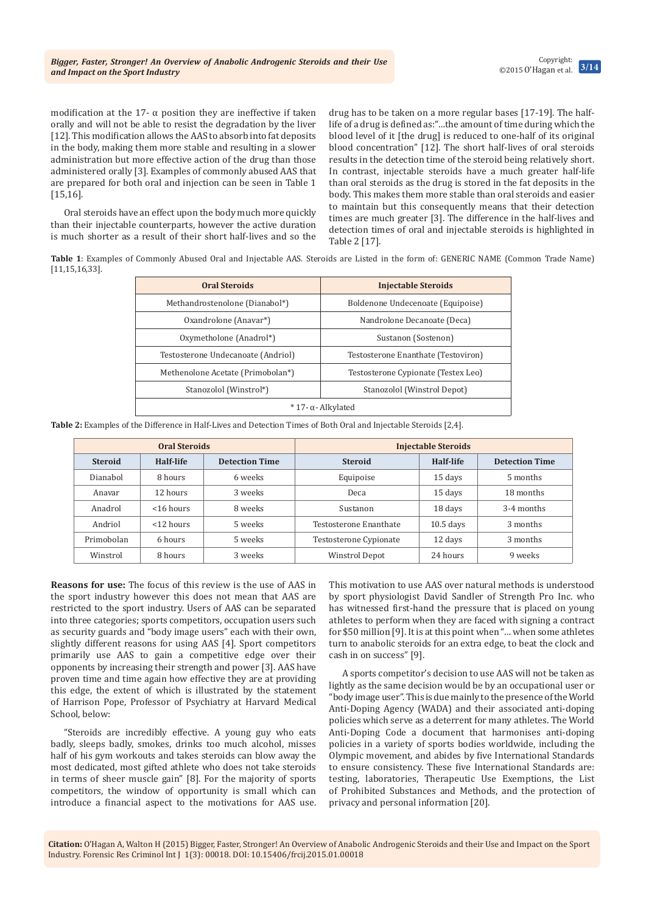modification at the 17- $\alpha$  position they are ineffective if taken orally and will not be able to resist the degradation by the liver [12]. This modification allows the AAS to absorb into fat deposits in the body, making them more stable and resulting in a slower administration but more effective action of the drug than those administered orally [3]. Examples of commonly abused AAS that are prepared for both oral and injection can be seen in Table 1 [15,16].

Oral steroids have an effect upon the body much more quickly than their injectable counterparts, however the active duration is much shorter as a result of their short half-lives and so the drug has to be taken on a more regular bases [17-19]. The halflife of a drug is defined as:"…the amount of time during which the blood level of it [the drug] is reduced to one-half of its original blood concentration" [12]. The short half-lives of oral steroids results in the detection time of the steroid being relatively short. In contrast, injectable steroids have a much greater half-life than oral steroids as the drug is stored in the fat deposits in the body. This makes them more stable than oral steroids and easier to maintain but this consequently means that their detection times are much greater [3]. The difference in the half-lives and detection times of oral and injectable steroids is highlighted in Table 2 [17].

**Table 1**: Examples of Commonly Abused Oral and Injectable AAS. Steroids are Listed in the form of: GENERIC NAME (Common Trade Name) [11,15,16,33].

| <b>Oral Steroids</b>               | <b>Injectable Steroids</b>          |  |
|------------------------------------|-------------------------------------|--|
| Methandrostenolone (Dianabol*)     | Boldenone Undecenoate (Equipoise)   |  |
| Oxandrolone (Anavar <sup>*</sup> ) | Nandrolone Decanoate (Deca)         |  |
| Oxymetholone (Anadrol*)            | Sustanon (Sostenon)                 |  |
| Testosterone Undecanoate (Andriol) | Testosterone Enanthate (Testoviron) |  |
| Methenolone Acetate (Primobolan*)  | Testosterone Cypionate (Testex Leo) |  |
| Stanozolol (Winstrol*)             | Stanozolol (Winstrol Depot)         |  |
| $*$ 17- α- Alkylated               |                                     |  |

**Table 2:** Examples of the Difference in Half-Lives and Detection Times of Both Oral and Injectable Steroids [2,4].

| <b>Oral Steroids</b> |              | <b>Injectable Steroids</b> |                        |             |                       |
|----------------------|--------------|----------------------------|------------------------|-------------|-----------------------|
| <b>Steroid</b>       | Half-life    | <b>Detection Time</b>      | <b>Steroid</b>         | Half-life   | <b>Detection Time</b> |
| Dianabol             | 8 hours      | 6 weeks                    | Equipoise              | 15 days     | 5 months              |
| Anavar               | 12 hours     | 3 weeks                    | Deca                   | 15 days     | 18 months             |
| Anadrol              | $<$ 16 hours | 8 weeks                    | Sustanon               | 18 days     | 3-4 months            |
| Andriol              | $<$ 12 hours | 5 weeks                    | Testosterone Enanthate | $10.5$ days | 3 months              |
| Primobolan           | 6 hours      | 5 weeks                    | Testosterone Cypionate | 12 days     | 3 months              |
| Winstrol             | 8 hours      | 3 weeks                    | <b>Winstrol Depot</b>  | 24 hours    | 9 weeks               |

**Reasons for use:** The focus of this review is the use of AAS in the sport industry however this does not mean that AAS are restricted to the sport industry. Users of AAS can be separated into three categories; sports competitors, occupation users such as security guards and "body image users" each with their own, slightly different reasons for using AAS [4]. Sport competitors primarily use AAS to gain a competitive edge over their opponents by increasing their strength and power [3]. AAS have proven time and time again how effective they are at providing this edge, the extent of which is illustrated by the statement of Harrison Pope, Professor of Psychiatry at Harvard Medical School, below:

"Steroids are incredibly effective. A young guy who eats badly, sleeps badly, smokes, drinks too much alcohol, misses half of his gym workouts and takes steroids can blow away the most dedicated, most gifted athlete who does not take steroids in terms of sheer muscle gain" [8]. For the majority of sports competitors, the window of opportunity is small which can introduce a financial aspect to the motivations for AAS use.

This motivation to use AAS over natural methods is understood by sport physiologist David Sandler of Strength Pro Inc. who has witnessed first-hand the pressure that is placed on young athletes to perform when they are faced with signing a contract for \$50 million [9]. It is at this point when "… when some athletes turn to anabolic steroids for an extra edge, to beat the clock and cash in on success" [9].

A sports competitor's decision to use AAS will not be taken as lightly as the same decision would be by an occupational user or "body image user". This is due mainly to the presence of the World Anti-Doping Agency (WADA) and their associated anti-doping policies which serve as a deterrent for many athletes. The World Anti-Doping Code a document that harmonises anti-doping policies in a variety of sports bodies worldwide, including the Olympic movement, and abides by five International Standards to ensure consistency. These five International Standards are: testing, laboratories, Therapeutic Use Exemptions, the List of Prohibited Substances and Methods, and the protection of privacy and personal information [20].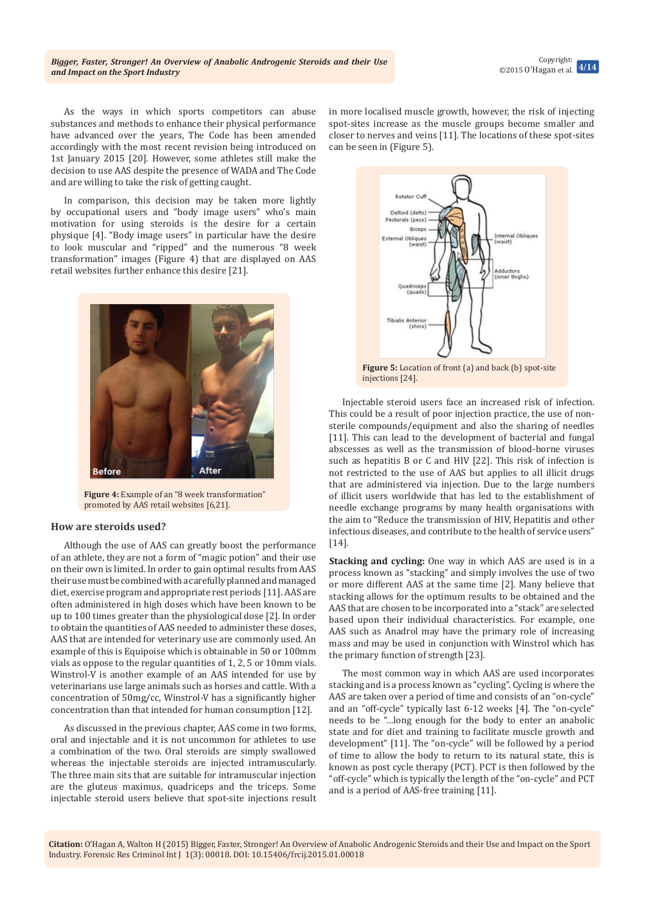As the ways in which sports competitors can abuse substances and methods to enhance their physical performance have advanced over the years, The Code has been amended accordingly with the most recent revision being introduced on 1st January 2015 [20]. However, some athletes still make the decision to use AAS despite the presence of WADA and The Code and are willing to take the risk of getting caught.

In comparison, this decision may be taken more lightly by occupational users and "body image users" who's main motivation for using steroids is the desire for a certain physique [4]. "Body image users" in particular have the desire to look muscular and "ripped" and the numerous "8 week transformation" images (Figure 4) that are displayed on AAS retail websites further enhance this desire [21].



**Figure 4:** Example of an "8 week transformation" promoted by AAS retail websites [6,21].

#### **How are steroids used?**

Although the use of AAS can greatly boost the performance of an athlete, they are not a form of "magic potion" and their use on their own is limited. In order to gain optimal results from AAS their use must be combined with a carefully planned and managed diet, exercise program and appropriate rest periods [11]. AAS are often administered in high doses which have been known to be up to 100 times greater than the physiological dose [2]. In order to obtain the quantities of AAS needed to administer these doses, AAS that are intended for veterinary use are commonly used. An example of this is Equipoise which is obtainable in 50 or 100mm vials as oppose to the regular quantities of 1, 2, 5 or 10mm vials. Winstrol-V is another example of an AAS intended for use by veterinarians use large animals such as horses and cattle. With a concentration of 50mg/cc, Winstrol-V has a significantly higher concentration than that intended for human consumption [12].

As discussed in the previous chapter, AAS come in two forms, oral and injectable and it is not uncommon for athletes to use a combination of the two. Oral steroids are simply swallowed whereas the injectable steroids are injected intramuscularly. The three main sits that are suitable for intramuscular injection are the gluteus maximus, quadriceps and the triceps. Some injectable steroid users believe that spot-site injections result

in more localised muscle growth, however, the risk of injecting spot-sites increase as the muscle groups become smaller and closer to nerves and veins [11]. The locations of these spot-sites can be seen in (Figure 5).



**Figure 5:** Location of front (a) and back (b) spot-site injections [24].

Injectable steroid users face an increased risk of infection. This could be a result of poor injection practice, the use of nonsterile compounds/equipment and also the sharing of needles [11]. This can lead to the development of bacterial and fungal abscesses as well as the transmission of blood-borne viruses such as hepatitis B or C and HIV [22]. This risk of infection is not restricted to the use of AAS but applies to all illicit drugs that are administered via injection. Due to the large numbers of illicit users worldwide that has led to the establishment of needle exchange programs by many health organisations with the aim to "Reduce the transmission of HIV, Hepatitis and other infectious diseases, and contribute to the health of service users" [14].

**Stacking and cycling:** One way in which AAS are used is in a process known as "stacking" and simply involves the use of two or more different AAS at the same time [2]. Many believe that stacking allows for the optimum results to be obtained and the AAS that are chosen to be incorporated into a "stack" are selected based upon their individual characteristics. For example, one AAS such as Anadrol may have the primary role of increasing mass and may be used in conjunction with Winstrol which has the primary function of strength [23].

The most common way in which AAS are used incorporates stacking and is a process known as "cycling". Cycling is where the AAS are taken over a period of time and consists of an "on-cycle" and an "off-cycle" typically last 6-12 weeks [4]. The "on-cycle" needs to be "…long enough for the body to enter an anabolic state and for diet and training to facilitate muscle growth and development" [11]. The "on-cycle" will be followed by a period of time to allow the body to return to its natural state, this is known as post cycle therapy (PCT). PCT is then followed by the "off-cycle" which is typically the length of the "on-cycle" and PCT and is a period of AAS-free training [11].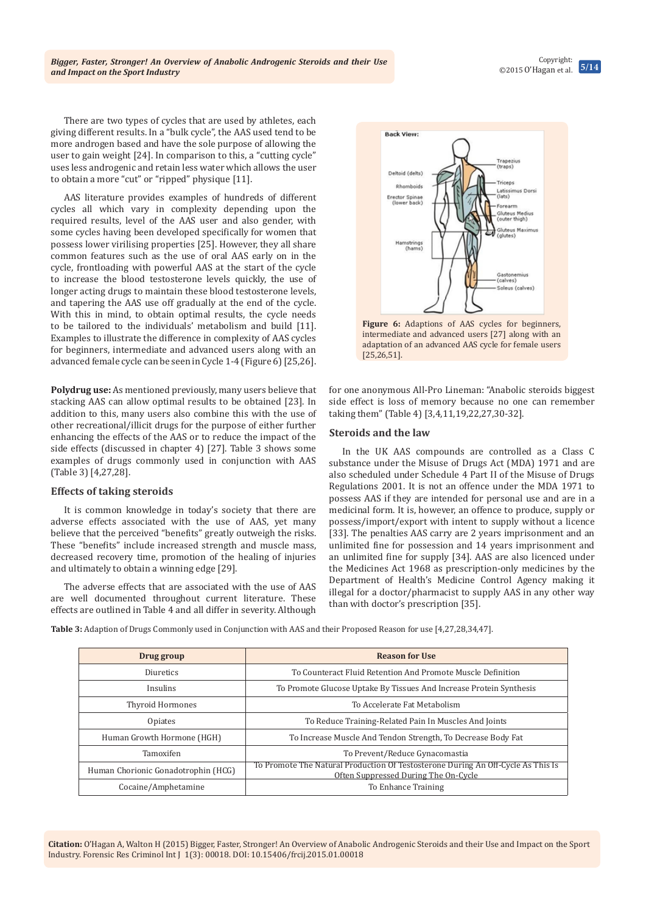Copyright: ©2015 O'Hagan et al. **5/14**

There are two types of cycles that are used by athletes, each giving different results. In a "bulk cycle", the AAS used tend to be more androgen based and have the sole purpose of allowing the user to gain weight [24]. In comparison to this, a "cutting cycle" uses less androgenic and retain less water which allows the user to obtain a more "cut" or "ripped" physique [11].

AAS literature provides examples of hundreds of different cycles all which vary in complexity depending upon the required results, level of the AAS user and also gender, with some cycles having been developed specifically for women that possess lower virilising properties [25]. However, they all share common features such as the use of oral AAS early on in the cycle, frontloading with powerful AAS at the start of the cycle to increase the blood testosterone levels quickly, the use of longer acting drugs to maintain these blood testosterone levels, and tapering the AAS use off gradually at the end of the cycle. With this in mind, to obtain optimal results, the cycle needs to be tailored to the individuals' metabolism and build [11]. Examples to illustrate the difference in complexity of AAS cycles for beginners, intermediate and advanced users along with an advanced female cycle can be seen in Cycle 1-4 (Figure 6) [25,26].

**Polydrug use:** As mentioned previously, many users believe that stacking AAS can allow optimal results to be obtained [23]. In addition to this, many users also combine this with the use of other recreational/illicit drugs for the purpose of either further enhancing the effects of the AAS or to reduce the impact of the side effects (discussed in chapter 4) [27]. Table 3 shows some examples of drugs commonly used in conjunction with AAS (Table 3) [4,27,28].

# **Effects of taking steroids**

It is common knowledge in today's society that there are adverse effects associated with the use of AAS, yet many believe that the perceived "benefits" greatly outweigh the risks. These "benefits" include increased strength and muscle mass, decreased recovery time, promotion of the healing of injuries and ultimately to obtain a winning edge [29].

The adverse effects that are associated with the use of AAS are well documented throughout current literature. These effects are outlined in Table 4 and all differ in severity. Although



**Figure 6:** Adaptions of AAS cycles for beginners, intermediate and advanced users [27] along with an adaptation of an advanced AAS cycle for female users [25,26,51].

for one anonymous All-Pro Lineman: "Anabolic steroids biggest side effect is loss of memory because no one can remember taking them" (Table 4) [3,4,11,19,22,27,30-32].

### **Steroids and the law**

In the UK AAS compounds are controlled as a Class C substance under the Misuse of Drugs Act (MDA) 1971 and are also scheduled under Schedule 4 Part II of the Misuse of Drugs Regulations 2001. It is not an offence under the MDA 1971 to possess AAS if they are intended for personal use and are in a medicinal form. It is, however, an offence to produce, supply or possess/import/export with intent to supply without a licence [33]. The penalties AAS carry are 2 years imprisonment and an unlimited fine for possession and 14 years imprisonment and an unlimited fine for supply [34]. AAS are also licenced under the Medicines Act 1968 as prescription-only medicines by the Department of Health's Medicine Control Agency making it illegal for a doctor/pharmacist to supply AAS in any other way than with doctor's prescription [35].

**Table 3:** Adaption of Drugs Commonly used in Conjunction with AAS and their Proposed Reason for use [4,27,28,34,47].

| Drug group                          | <b>Reason for Use</b>                                                                                                    |
|-------------------------------------|--------------------------------------------------------------------------------------------------------------------------|
| Diuretics                           | To Counteract Fluid Retention And Promote Muscle Definition                                                              |
| Insulins                            | To Promote Glucose Uptake By Tissues And Increase Protein Synthesis                                                      |
| Thyroid Hormones                    | To Accelerate Fat Metabolism                                                                                             |
| <b>Opiates</b>                      | To Reduce Training-Related Pain In Muscles And Joints                                                                    |
| Human Growth Hormone (HGH)          | To Increase Muscle And Tendon Strength, To Decrease Body Fat                                                             |
| Tamoxifen                           | To Prevent/Reduce Gynacomastia                                                                                           |
| Human Chorionic Gonadotrophin (HCG) | To Promote The Natural Production Of Testosterone During An Off-Cycle As This Is<br>Often Suppressed During The On-Cycle |
| Cocaine/Amphetamine                 | To Enhance Training                                                                                                      |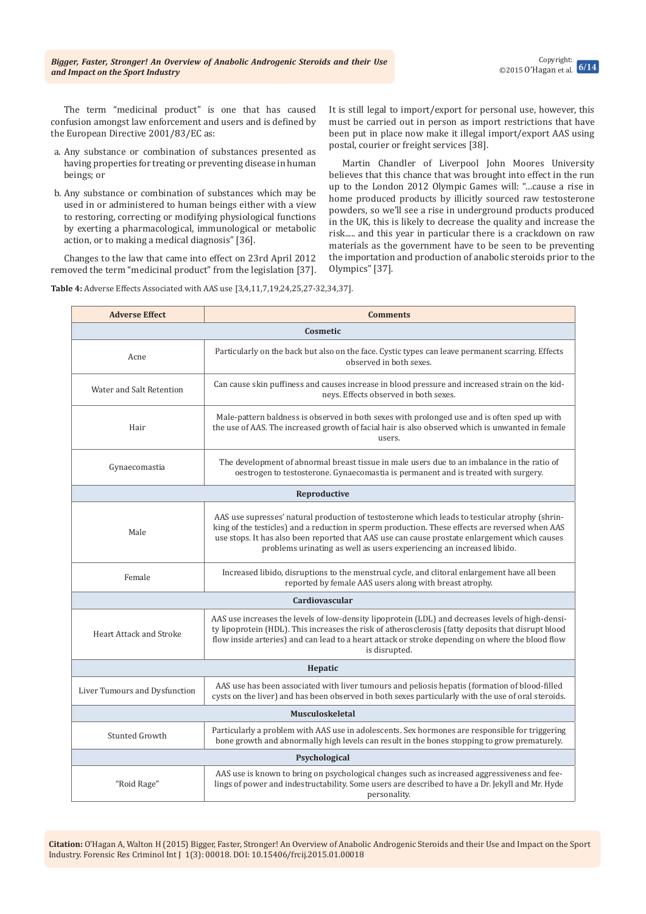The term "medicinal product" is one that has caused confusion amongst law enforcement and users and is defined by the European Directive 2001/83/EC as:

- a. Any substance or combination of substances presented as having properties for treating or preventing disease in human beings; or
- b. Any substance or combination of substances which may be used in or administered to human beings either with a view to restoring, correcting or modifying physiological functions by exerting a pharmacological, immunological or metabolic action, or to making a medical diagnosis" [36].

Changes to the law that came into effect on 23rd April 2012 removed the term "medicinal product" from the legislation [37]. It is still legal to import/export for personal use, however, this must be carried out in person as import restrictions that have been put in place now make it illegal import/export AAS using postal, courier or freight services [38].

Martin Chandler of Liverpool John Moores University believes that this chance that was brought into effect in the run up to the London 2012 Olympic Games will: "…cause a rise in home produced products by illicitly sourced raw testosterone powders, so we'll see a rise in underground products produced in the UK, this is likely to decrease the quality and increase the risk..... and this year in particular there is a crackdown on raw materials as the government have to be seen to be preventing the importation and production of anabolic steroids prior to the Olympics" [37].

**Table 4:** Adverse Effects Associated with AAS use [3,4,11,7,19,24,25,27-32,34,37].

| <b>Adverse Effect</b>          | <b>Comments</b>                                                                                                                                                                                                                                                                                                                                                              |  |
|--------------------------------|------------------------------------------------------------------------------------------------------------------------------------------------------------------------------------------------------------------------------------------------------------------------------------------------------------------------------------------------------------------------------|--|
| Cosmetic                       |                                                                                                                                                                                                                                                                                                                                                                              |  |
| Acne                           | Particularly on the back but also on the face. Cystic types can leave permanent scarring. Effects<br>observed in both sexes.                                                                                                                                                                                                                                                 |  |
| Water and Salt Retention       | Can cause skin puffiness and causes increase in blood pressure and increased strain on the kid-<br>neys. Effects observed in both sexes.                                                                                                                                                                                                                                     |  |
| Hair                           | Male-pattern baldness is observed in both sexes with prolonged use and is often sped up with<br>the use of AAS. The increased growth of facial hair is also observed which is unwanted in female<br>users.                                                                                                                                                                   |  |
| Gynaecomastia                  | The development of abnormal breast tissue in male users due to an imbalance in the ratio of<br>oestrogen to testosterone. Gynaecomastia is permanent and is treated with surgery.                                                                                                                                                                                            |  |
|                                | Reproductive                                                                                                                                                                                                                                                                                                                                                                 |  |
| Male                           | AAS use supresses' natural production of testosterone which leads to testicular atrophy (shrin-<br>king of the testicles) and a reduction in sperm production. These effects are reversed when AAS<br>use stops. It has also been reported that AAS use can cause prostate enlargement which causes<br>problems urinating as well as users experiencing an increased libido. |  |
| Female                         | Increased libido, disruptions to the menstrual cycle, and clitoral enlargement have all been<br>reported by female AAS users along with breast atrophy.                                                                                                                                                                                                                      |  |
|                                | Cardiovascular                                                                                                                                                                                                                                                                                                                                                               |  |
| <b>Heart Attack and Stroke</b> | AAS use increases the levels of low-density lipoprotein (LDL) and decreases levels of high-densi-<br>ty lipoprotein (HDL). This increases the risk of atherosclerosis (fatty deposits that disrupt blood<br>flow inside arteries) and can lead to a heart attack or stroke depending on where the blood flow<br>is disrupted.                                                |  |
| Hepatic                        |                                                                                                                                                                                                                                                                                                                                                                              |  |
| Liver Tumours and Dysfunction  | AAS use has been associated with liver tumours and peliosis hepatis (formation of blood-filled<br>cysts on the liver) and has been observed in both sexes particularly with the use of oral steroids.                                                                                                                                                                        |  |
| <b>Musculoskeletal</b>         |                                                                                                                                                                                                                                                                                                                                                                              |  |
| Stunted Growth                 | Particularly a problem with AAS use in adolescents. Sex hormones are responsible for triggering<br>bone growth and abnormally high levels can result in the bones stopping to grow prematurely.                                                                                                                                                                              |  |
| Psychological                  |                                                                                                                                                                                                                                                                                                                                                                              |  |
| "Roid Rage"                    | AAS use is known to bring on psychological changes such as increased aggressiveness and fee-<br>lings of power and indestructability. Some users are described to have a Dr. Jekyll and Mr. Hyde<br>personality.                                                                                                                                                             |  |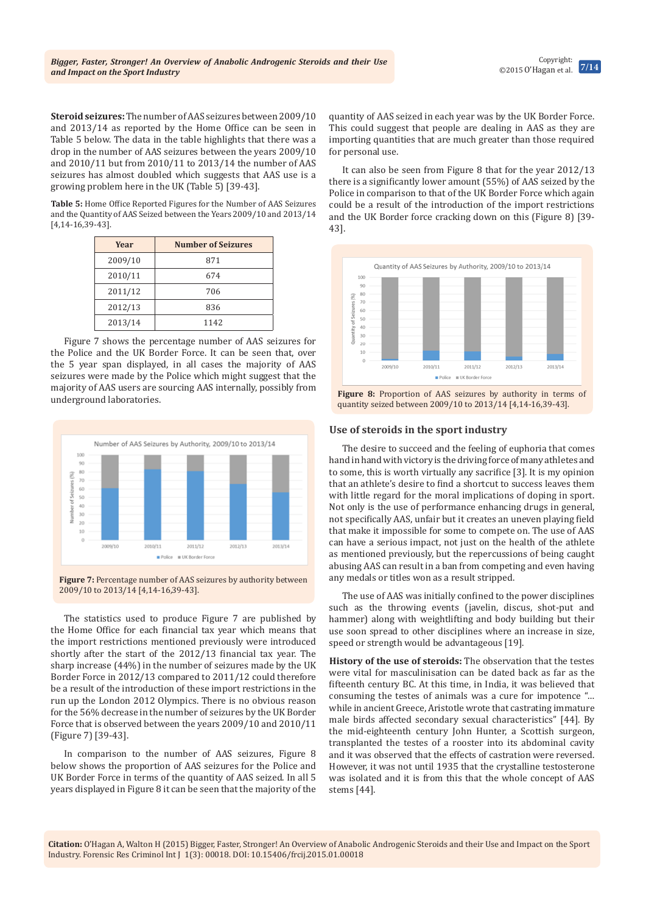Copyright: ©2015 O'Hagan et al. **7/14**

**Steroid seizures:** The number of AAS seizures between 2009/10 and 2013/14 as reported by the Home Office can be seen in Table 5 below. The data in the table highlights that there was a drop in the number of AAS seizures between the years 2009/10 and 2010/11 but from 2010/11 to 2013/14 the number of AAS seizures has almost doubled which suggests that AAS use is a growing problem here in the UK (Table 5) [39-43].

**Table 5:** Home Office Reported Figures for the Number of AAS Seizures and the Quantity of AAS Seized between the Years 2009/10 and 2013/14 [4,14-16,39-43].

| Year    | <b>Number of Seizures</b> |
|---------|---------------------------|
| 2009/10 | 871                       |
| 2010/11 | 674                       |
| 2011/12 | 706                       |
| 2012/13 | 836                       |
| 2013/14 | 1142                      |

Figure 7 shows the percentage number of AAS seizures for the Police and the UK Border Force. It can be seen that, over the 5 year span displayed, in all cases the majority of AAS seizures were made by the Police which might suggest that the majority of AAS users are sourcing AAS internally, possibly from underground laboratories.



**Figure 7:** Percentage number of AAS seizures by authority between 2009/10 to 2013/14 [4,14-16,39-43].

The statistics used to produce Figure 7 are published by the Home Office for each financial tax year which means that the import restrictions mentioned previously were introduced shortly after the start of the 2012/13 financial tax year. The sharp increase (44%) in the number of seizures made by the UK Border Force in 2012/13 compared to 2011/12 could therefore be a result of the introduction of these import restrictions in the run up the London 2012 Olympics. There is no obvious reason for the 56% decrease in the number of seizures by the UK Border Force that is observed between the years 2009/10 and 2010/11 (Figure 7) [39-43].

In comparison to the number of AAS seizures, Figure 8 below shows the proportion of AAS seizures for the Police and UK Border Force in terms of the quantity of AAS seized. In all 5 years displayed in Figure 8 it can be seen that the majority of the quantity of AAS seized in each year was by the UK Border Force. This could suggest that people are dealing in AAS as they are importing quantities that are much greater than those required for personal use.

It can also be seen from Figure 8 that for the year 2012/13 there is a significantly lower amount (55%) of AAS seized by the Police in comparison to that of the UK Border Force which again could be a result of the introduction of the import restrictions and the UK Border force cracking down on this (Figure 8) [39- 43].



**Figure 8:** Proportion of AAS seizures by authority in terms of quantity seized between 2009/10 to 2013/14 [4,14-16,39-43].

#### **Use of steroids in the sport industry**

The desire to succeed and the feeling of euphoria that comes hand in hand with victory is the driving force of many athletes and to some, this is worth virtually any sacrifice [3]. It is my opinion that an athlete's desire to find a shortcut to success leaves them with little regard for the moral implications of doping in sport. Not only is the use of performance enhancing drugs in general, not specifically AAS, unfair but it creates an uneven playing field that make it impossible for some to compete on. The use of AAS can have a serious impact, not just on the health of the athlete as mentioned previously, but the repercussions of being caught abusing AAS can result in a ban from competing and even having any medals or titles won as a result stripped.

The use of AAS was initially confined to the power disciplines such as the throwing events (javelin, discus, shot-put and hammer) along with weightlifting and body building but their use soon spread to other disciplines where an increase in size, speed or strength would be advantageous [19].

**History of the use of steroids:** The observation that the testes were vital for masculinisation can be dated back as far as the fifteenth century BC. At this time, in India, it was believed that consuming the testes of animals was a cure for impotence "… while in ancient Greece, Aristotle wrote that castrating immature male birds affected secondary sexual characteristics" [44]. By the mid-eighteenth century John Hunter, a Scottish surgeon, transplanted the testes of a rooster into its abdominal cavity and it was observed that the effects of castration were reversed. However, it was not until 1935 that the crystalline testosterone was isolated and it is from this that the whole concept of AAS stems [44].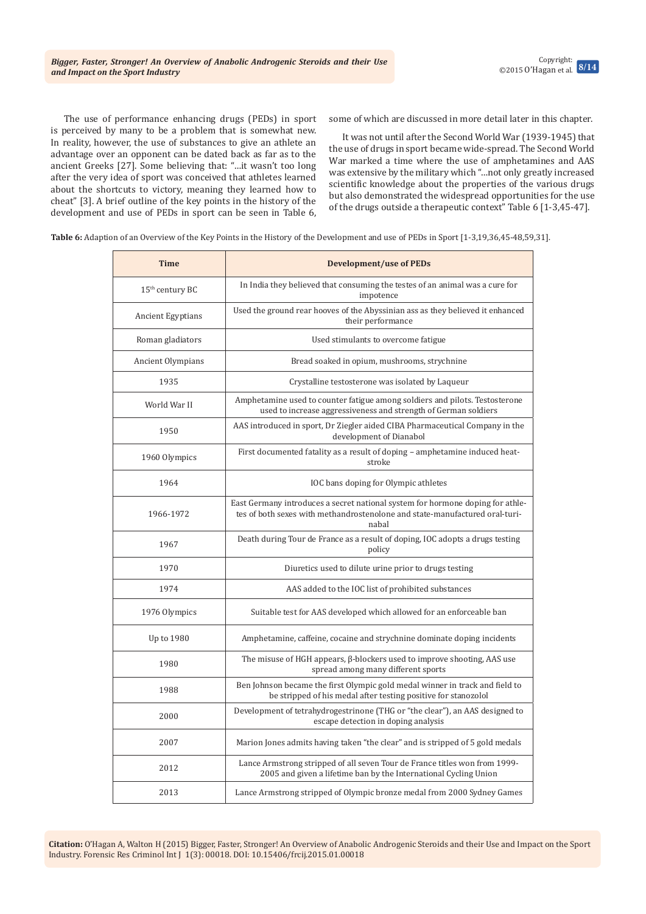The use of performance enhancing drugs (PEDs) in sport is perceived by many to be a problem that is somewhat new. In reality, however, the use of substances to give an athlete an advantage over an opponent can be dated back as far as to the ancient Greeks [27]. Some believing that: "…it wasn't too long after the very idea of sport was conceived that athletes learned about the shortcuts to victory, meaning they learned how to cheat" [3]. A brief outline of the key points in the history of the development and use of PEDs in sport can be seen in Table 6,

some of which are discussed in more detail later in this chapter.

It was not until after the Second World War (1939-1945) that the use of drugs in sport became wide-spread. The Second World War marked a time where the use of amphetamines and AAS was extensive by the military which "…not only greatly increased scientific knowledge about the properties of the various drugs but also demonstrated the widespread opportunities for the use of the drugs outside a therapeutic context" Table 6 [1-3,45-47].

**Table 6:** Adaption of an Overview of the Key Points in the History of the Development and use of PEDs in Sport [1-3,19,36,45-48,59,31].

| <b>Time</b>                 | <b>Development/use of PEDs</b>                                                                                                                                         |
|-----------------------------|------------------------------------------------------------------------------------------------------------------------------------------------------------------------|
| 15 <sup>th</sup> century BC | In India they believed that consuming the testes of an animal was a cure for<br>impotence                                                                              |
| Ancient Egyptians           | Used the ground rear hooves of the Abyssinian ass as they believed it enhanced<br>their performance                                                                    |
| Roman gladiators            | Used stimulants to overcome fatigue                                                                                                                                    |
| Ancient Olympians           | Bread soaked in opium, mushrooms, strychnine                                                                                                                           |
| 1935                        | Crystalline testosterone was isolated by Laqueur                                                                                                                       |
| World War II                | Amphetamine used to counter fatigue among soldiers and pilots. Testosterone<br>used to increase aggressiveness and strength of German soldiers                         |
| 1950                        | AAS introduced in sport, Dr Ziegler aided CIBA Pharmaceutical Company in the<br>development of Dianabol                                                                |
| 1960 Olympics               | First documented fatality as a result of doping - amphetamine induced heat-<br>stroke                                                                                  |
| 1964                        | IOC bans doping for Olympic athletes                                                                                                                                   |
| 1966-1972                   | East Germany introduces a secret national system for hormone doping for athle-<br>tes of both sexes with methandrostenolone and state-manufactured oral-turi-<br>nabal |
| 1967                        | Death during Tour de France as a result of doping, IOC adopts a drugs testing<br>policy                                                                                |
| 1970                        | Diuretics used to dilute urine prior to drugs testing                                                                                                                  |
| 1974                        | AAS added to the IOC list of prohibited substances                                                                                                                     |
| 1976 Olympics               | Suitable test for AAS developed which allowed for an enforceable ban                                                                                                   |
| Up to 1980                  | Amphetamine, caffeine, cocaine and strychnine dominate doping incidents                                                                                                |
| 1980                        | The misuse of HGH appears, $\beta$ -blockers used to improve shooting, AAS use<br>spread among many different sports                                                   |
| 1988                        | Ben Johnson became the first Olympic gold medal winner in track and field to<br>be stripped of his medal after testing positive for stanozolol                         |
| 2000                        | Development of tetrahydrogestrinone (THG or "the clear"), an AAS designed to<br>escape detection in doping analysis                                                    |
| 2007                        | Marion Jones admits having taken "the clear" and is stripped of 5 gold medals                                                                                          |
| 2012                        | Lance Armstrong stripped of all seven Tour de France titles won from 1999-<br>2005 and given a lifetime ban by the International Cycling Union                         |
| 2013                        | Lance Armstrong stripped of Olympic bronze medal from 2000 Sydney Games                                                                                                |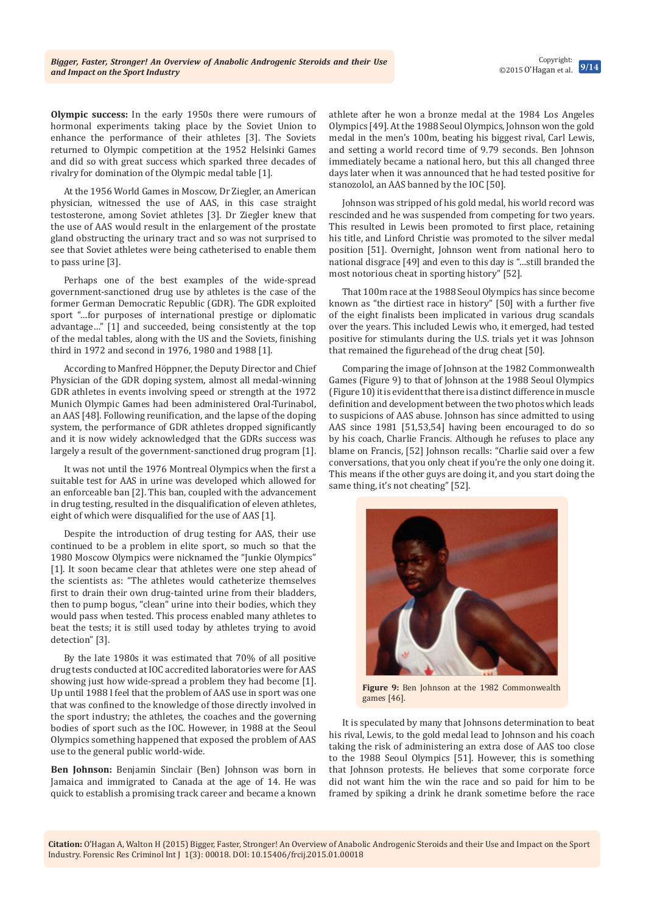athlete after he won a bronze medal at the 1984 Los Angeles Olympics [49]. At the 1988 Seoul Olympics, Johnson won the gold medal in the men's 100m, beating his biggest rival, Carl Lewis, and setting a world record time of 9.79 seconds. Ben Johnson immediately became a national hero, but this all changed three days later when it was announced that he had tested positive for stanozolol, an AAS banned by the IOC [50].

Johnson was stripped of his gold medal, his world record was rescinded and he was suspended from competing for two years. This resulted in Lewis been promoted to first place, retaining his title, and Linford Christie was promoted to the silver medal position [51]. Overnight, Johnson went from national hero to national disgrace [49] and even to this day is "…still branded the most notorious cheat in sporting history" [52].

That 100m race at the 1988 Seoul Olympics has since become known as "the dirtiest race in history" [50] with a further five of the eight finalists been implicated in various drug scandals over the years. This included Lewis who, it emerged, had tested positive for stimulants during the U.S. trials yet it was Johnson that remained the figurehead of the drug cheat [50].

Comparing the image of Johnson at the 1982 Commonwealth Games (Figure 9) to that of Johnson at the 1988 Seoul Olympics (Figure 10) it is evident that there is a distinct difference in muscle definition and development between the two photos which leads to suspicions of AAS abuse. Johnson has since admitted to using AAS since 1981 [51,53,54] having been encouraged to do so by his coach, Charlie Francis. Although he refuses to place any blame on Francis, [52] Johnson recalls: "Charlie said over a few conversations, that you only cheat if you're the only one doing it. This means if the other guys are doing it, and you start doing the same thing, it's not cheating" [52].

**Figure 9:** Ben Johnson at the 1982 Commonwealth games [46].

It is speculated by many that Johnsons determination to beat his rival, Lewis, to the gold medal lead to Johnson and his coach taking the risk of administering an extra dose of AAS too close to the 1988 Seoul Olympics [51]. However, this is something that Johnson protests. He believes that some corporate force did not want him the win the race and so paid for him to be framed by spiking a drink he drank sometime before the race

**Citation:** O'Hagan A, Walton H (2015) Bigger, Faster, Stronger! An Overview of Anabolic Androgenic Steroids and their Use and Impact on the Sport

**Olympic success:** In the early 1950s there were rumours of hormonal experiments taking place by the Soviet Union to enhance the performance of their athletes [3]. The Soviets returned to Olympic competition at the 1952 Helsinki Games and did so with great success which sparked three decades of rivalry for domination of the Olympic medal table [1].

At the 1956 World Games in Moscow, Dr Ziegler, an American physician, witnessed the use of AAS, in this case straight testosterone, among Soviet athletes [3]. Dr Ziegler knew that the use of AAS would result in the enlargement of the prostate gland obstructing the urinary tract and so was not surprised to see that Soviet athletes were being catheterised to enable them to pass urine [3].

Perhaps one of the best examples of the wide-spread government-sanctioned drug use by athletes is the case of the former German Democratic Republic (GDR). The GDR exploited sport "…for purposes of international prestige or diplomatic advantage…" [1] and succeeded, being consistently at the top of the medal tables, along with the US and the Soviets, finishing third in 1972 and second in 1976, 1980 and 1988 [1].

According to Manfred Hӧppner, the Deputy Director and Chief Physician of the GDR doping system, almost all medal-winning GDR athletes in events involving speed or strength at the 1972 Munich Olympic Games had been administered Oral-Turinabol, an AAS [48]. Following reunification, and the lapse of the doping system, the performance of GDR athletes dropped significantly and it is now widely acknowledged that the GDRs success was largely a result of the government-sanctioned drug program [1].

It was not until the 1976 Montreal Olympics when the first a suitable test for AAS in urine was developed which allowed for an enforceable ban [2]. This ban, coupled with the advancement in drug testing, resulted in the disqualification of eleven athletes, eight of which were disqualified for the use of AAS [1].

Despite the introduction of drug testing for AAS, their use continued to be a problem in elite sport, so much so that the 1980 Moscow Olympics were nicknamed the "Junkie Olympics" [1]. It soon became clear that athletes were one step ahead of the scientists as: "The athletes would catheterize themselves first to drain their own drug-tainted urine from their bladders, then to pump bogus, "clean" urine into their bodies, which they would pass when tested. This process enabled many athletes to beat the tests; it is still used today by athletes trying to avoid detection" [3].

By the late 1980s it was estimated that 70% of all positive drug tests conducted at IOC accredited laboratories were for AAS showing just how wide-spread a problem they had become [1]. Up until 1988 I feel that the problem of AAS use in sport was one that was confined to the knowledge of those directly involved in the sport industry; the athletes, the coaches and the governing bodies of sport such as the IOC. However, in 1988 at the Seoul Olympics something happened that exposed the problem of AAS use to the general public world-wide.

**Ben Johnson:** Benjamin Sinclair (Ben) Johnson was born in Jamaica and immigrated to Canada at the age of 14. He was quick to establish a promising track career and became a known

Industry. Forensic Res Criminol Int J 1(3): 00018. DOI: [10.15406/frcij.2015.01.00018](http://dx.doi.org/10.15406/frcij.2015.01.00018)

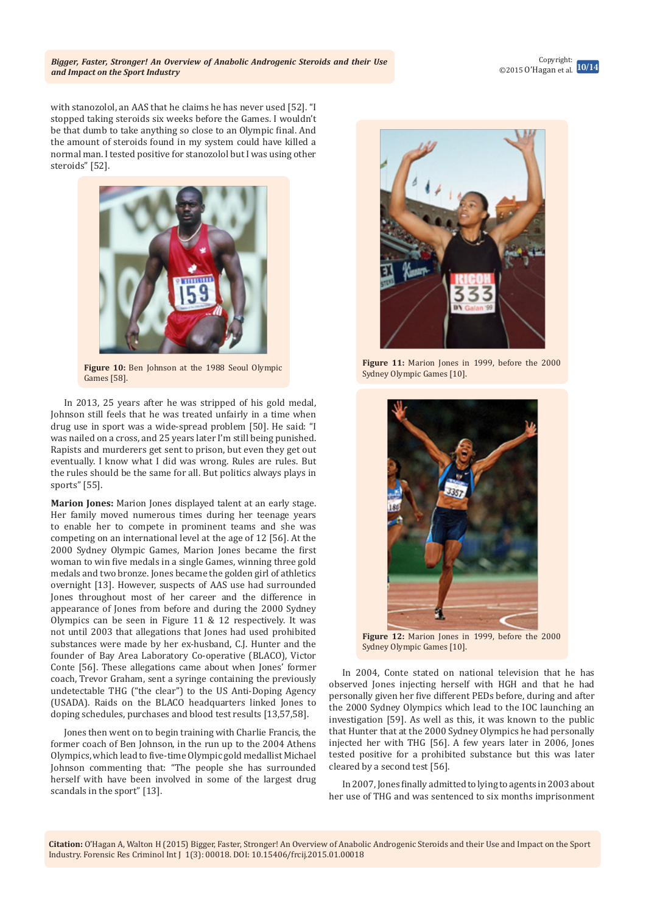

with stanozolol, an AAS that he claims he has never used [52]. "I stopped taking steroids six weeks before the Games. I wouldn't be that dumb to take anything so close to an Olympic final. And the amount of steroids found in my system could have killed a normal man. I tested positive for stanozolol but I was using other steroids" [52].



**Figure 10:** Ben Johnson at the 1988 Seoul Olympic Games [58].

In 2013, 25 years after he was stripped of his gold medal, Johnson still feels that he was treated unfairly in a time when drug use in sport was a wide-spread problem [50]. He said: "I was nailed on a cross, and 25 years later I'm still being punished. Rapists and murderers get sent to prison, but even they get out eventually. I know what I did was wrong. Rules are rules. But the rules should be the same for all. But politics always plays in sports" [55].

**Marion Jones:** Marion Jones displayed talent at an early stage. Her family moved numerous times during her teenage years to enable her to compete in prominent teams and she was competing on an international level at the age of 12 [56]. At the 2000 Sydney Olympic Games, Marion Jones became the first woman to win five medals in a single Games, winning three gold medals and two bronze. Jones became the golden girl of athletics overnight [13]. However, suspects of AAS use had surrounded Jones throughout most of her career and the difference in appearance of Jones from before and during the 2000 Sydney Olympics can be seen in Figure 11 & 12 respectively. It was not until 2003 that allegations that Jones had used prohibited substances were made by her ex-husband, C.J. Hunter and the founder of Bay Area Laboratory Co-operative (BLACO), Victor Conte [56]. These allegations came about when Jones' former coach, Trevor Graham, sent a syringe containing the previously undetectable THG ("the clear") to the US Anti-Doping Agency (USADA). Raids on the BLACO headquarters linked Jones to doping schedules, purchases and blood test results [13,57,58].

Jones then went on to begin training with Charlie Francis, the former coach of Ben Johnson, in the run up to the 2004 Athens Olympics, which lead to five-time Olympic gold medallist Michael Johnson commenting that: "The people she has surrounded herself with have been involved in some of the largest drug scandals in the sport" [13].



**Figure 11:** Marion Jones in 1999, before the 2000 Sydney Olympic Games [10].



**Figure 12:** Marion Jones in 1999, before the 2000 Sydney Olympic Games [10].

In 2004, Conte stated on national television that he has observed Jones injecting herself with HGH and that he had personally given her five different PEDs before, during and after the 2000 Sydney Olympics which lead to the IOC launching an investigation [59]. As well as this, it was known to the public that Hunter that at the 2000 Sydney Olympics he had personally injected her with THG [56]. A few years later in 2006, Jones tested positive for a prohibited substance but this was later cleared by a second test [56].

In 2007, Jones finally admitted to lying to agents in 2003 about her use of THG and was sentenced to six months imprisonment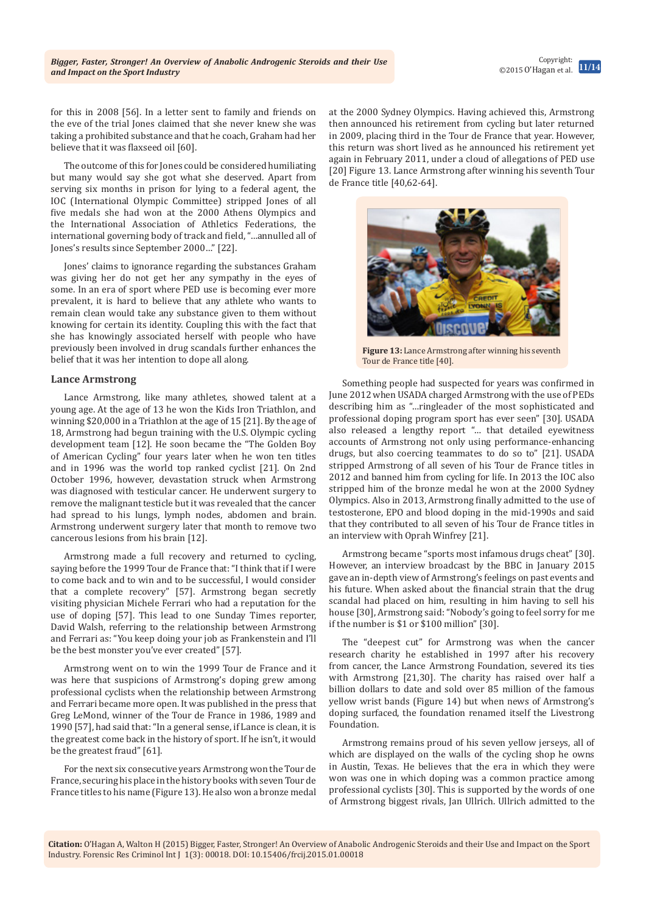Copyright: ©2015 O'Hagan et al. **11/14**

for this in 2008 [56]. In a letter sent to family and friends on the eve of the trial Jones claimed that she never knew she was taking a prohibited substance and that he coach, Graham had her believe that it was flaxseed oil [60].

The outcome of this for Jones could be considered humiliating but many would say she got what she deserved. Apart from serving six months in prison for lying to a federal agent, the IOC (International Olympic Committee) stripped Jones of all five medals she had won at the 2000 Athens Olympics and the International Association of Athletics Federations, the international governing body of track and field, "…annulled all of Jones's results since September 2000…" [22].

Jones' claims to ignorance regarding the substances Graham was giving her do not get her any sympathy in the eyes of some. In an era of sport where PED use is becoming ever more prevalent, it is hard to believe that any athlete who wants to remain clean would take any substance given to them without knowing for certain its identity. Coupling this with the fact that she has knowingly associated herself with people who have previously been involved in drug scandals further enhances the belief that it was her intention to dope all along.

#### **Lance Armstrong**

Lance Armstrong, like many athletes, showed talent at a young age. At the age of 13 he won the Kids Iron Triathlon, and winning \$20,000 in a Triathlon at the age of 15 [21]. By the age of 18, Armstrong had begun training with the U.S. Olympic cycling development team [12]. He soon became the "The Golden Boy of American Cycling" four years later when he won ten titles and in 1996 was the world top ranked cyclist [21]. On 2nd October 1996, however, devastation struck when Armstrong was diagnosed with testicular cancer. He underwent surgery to remove the malignant testicle but it was revealed that the cancer had spread to his lungs, lymph nodes, abdomen and brain. Armstrong underwent surgery later that month to remove two cancerous lesions from his brain [12].

Armstrong made a full recovery and returned to cycling, saying before the 1999 Tour de France that: "I think that if I were to come back and to win and to be successful, I would consider that a complete recovery" [57]. Armstrong began secretly visiting physician Michele Ferrari who had a reputation for the use of doping [57]. This lead to one Sunday Times reporter, David Walsh, referring to the relationship between Armstrong and Ferrari as: "You keep doing your job as Frankenstein and I'll be the best monster you've ever created" [57].

Armstrong went on to win the 1999 Tour de France and it was here that suspicions of Armstrong's doping grew among professional cyclists when the relationship between Armstrong and Ferrari became more open. It was published in the press that Greg LeMond, winner of the Tour de France in 1986, 1989 and 1990 [57], had said that: "In a general sense, if Lance is clean, it is the greatest come back in the history of sport. If he isn't, it would be the greatest fraud" [61].

For the next six consecutive years Armstrong won the Tour de France, securing his place in the history books with seven Tour de France titles to his name (Figure 13). He also won a bronze medal

at the 2000 Sydney Olympics. Having achieved this, Armstrong then announced his retirement from cycling but later returned in 2009, placing third in the Tour de France that year. However, this return was short lived as he announced his retirement yet again in February 2011, under a cloud of allegations of PED use [20] Figure 13. Lance Armstrong after winning his seventh Tour de France title [40,62-64].



**Figure 13:** Lance Armstrong after winning his seventh Tour de France title [40].

Something people had suspected for years was confirmed in June 2012 when USADA charged Armstrong with the use of PEDs describing him as "…ringleader of the most sophisticated and professional doping program sport has ever seen" [30]. USADA also released a lengthy report "… that detailed eyewitness accounts of Armstrong not only using performance-enhancing drugs, but also coercing teammates to do so to" [21]. USADA stripped Armstrong of all seven of his Tour de France titles in 2012 and banned him from cycling for life. In 2013 the IOC also stripped him of the bronze medal he won at the 2000 Sydney Olympics. Also in 2013, Armstrong finally admitted to the use of testosterone, EPO and blood doping in the mid-1990s and said that they contributed to all seven of his Tour de France titles in an interview with Oprah Winfrey [21].

Armstrong became "sports most infamous drugs cheat" [30]. However, an interview broadcast by the BBC in January 2015 gave an in-depth view of Armstrong's feelings on past events and his future. When asked about the financial strain that the drug scandal had placed on him, resulting in him having to sell his house [30], Armstrong said: "Nobody's going to feel sorry for me if the number is \$1 or \$100 million" [30].

The "deepest cut" for Armstrong was when the cancer research charity he established in 1997 after his recovery from cancer, the Lance Armstrong Foundation, severed its ties with Armstrong [21,30]. The charity has raised over half a billion dollars to date and sold over 85 million of the famous yellow wrist bands (Figure 14) but when news of Armstrong's doping surfaced, the foundation renamed itself the Livestrong Foundation.

Armstrong remains proud of his seven yellow jerseys, all of which are displayed on the walls of the cycling shop he owns in Austin, Texas. He believes that the era in which they were won was one in which doping was a common practice among professional cyclists [30]. This is supported by the words of one of Armstrong biggest rivals, Jan Ullrich. Ullrich admitted to the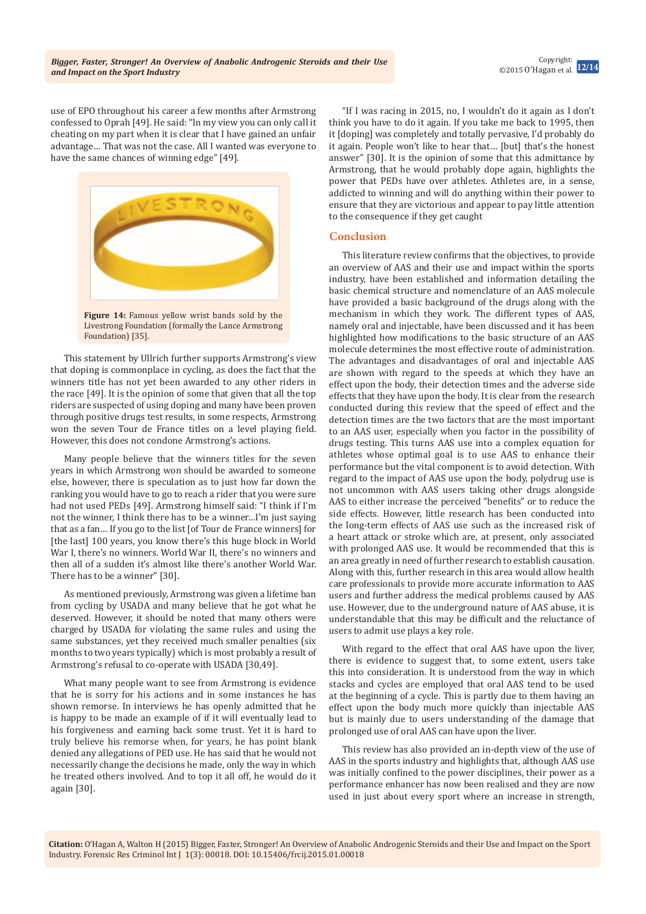use of EPO throughout his career a few months after Armstrong confessed to Oprah [49]. He said: "In my view you can only call it cheating on my part when it is clear that I have gained an unfair advantage… That was not the case. All I wanted was everyone to have the same chances of winning edge" [49].



**Figure 14:** Famous yellow wrist bands sold by the Livestrong Foundation (formally the Lance Armstrong Foundation) [35].

This statement by Ullrich further supports Armstrong's view that doping is commonplace in cycling, as does the fact that the winners title has not yet been awarded to any other riders in the race [49]. It is the opinion of some that given that all the top riders are suspected of using doping and many have been proven through positive drugs test results, in some respects, Armstrong won the seven Tour de France titles on a level playing field. However, this does not condone Armstrong's actions.

Many people believe that the winners titles for the seven years in which Armstrong won should be awarded to someone else, however, there is speculation as to just how far down the ranking you would have to go to reach a rider that you were sure had not used PEDs [49]. Armstrong himself said: "I think if I'm not the winner, I think there has to be a winner…I'm just saying that as a fan… If you go to the list [of Tour de France winners] for [the last] 100 years, you know there's this huge block in World War I, there's no winners. World War II, there's no winners and then all of a sudden it's almost like there's another World War. There has to be a winner" [30].

As mentioned previously, Armstrong was given a lifetime ban from cycling by USADA and many believe that he got what he deserved. However, it should be noted that many others were charged by USADA for violating the same rules and using the same substances, yet they received much smaller penalties (six months to two years typically) which is most probably a result of Armstrong's refusal to co-operate with USADA [30,49].

What many people want to see from Armstrong is evidence that he is sorry for his actions and in some instances he has shown remorse. In interviews he has openly admitted that he is happy to be made an example of if it will eventually lead to his forgiveness and earning back some trust. Yet it is hard to truly believe his remorse when, for years, he has point blank denied any allegations of PED use. He has said that he would not necessarily change the decisions he made, only the way in which he treated others involved. And to top it all off, he would do it again [30].

"If I was racing in 2015, no, I wouldn't do it again as I don't think you have to do it again. If you take me back to 1995, then it [doping] was completely and totally pervasive, I'd probably do it again. People won't like to hear that… [but] that's the honest answer" [30]. It is the opinion of some that this admittance by Armstrong, that he would probably dope again, highlights the power that PEDs have over athletes. Athletes are, in a sense, addicted to winning and will do anything within their power to ensure that they are victorious and appear to pay little attention to the consequence if they get caught

# **Conclusion**

This literature review confirms that the objectives, to provide an overview of AAS and their use and impact within the sports industry, have been established and information detailing the basic chemical structure and nomenclature of an AAS molecule have provided a basic background of the drugs along with the mechanism in which they work. The different types of AAS, namely oral and injectable, have been discussed and it has been highlighted how modifications to the basic structure of an AAS molecule determines the most effective route of administration. The advantages and disadvantages of oral and injectable AAS are shown with regard to the speeds at which they have an effect upon the body, their detection times and the adverse side effects that they have upon the body. It is clear from the research conducted during this review that the speed of effect and the detection times are the two factors that are the most important to an AAS user, especially when you factor in the possibility of drugs testing. This turns AAS use into a complex equation for athletes whose optimal goal is to use AAS to enhance their performance but the vital component is to avoid detection. With regard to the impact of AAS use upon the body, polydrug use is not uncommon with AAS users taking other drugs alongside AAS to either increase the perceived "benefits" or to reduce the side effects. However, little research has been conducted into the long-term effects of AAS use such as the increased risk of a heart attack or stroke which are, at present, only associated with prolonged AAS use. It would be recommended that this is an area greatly in need of further research to establish causation. Along with this, further research in this area would allow health care professionals to provide more accurate information to AAS users and further address the medical problems caused by AAS use. However, due to the underground nature of AAS abuse, it is understandable that this may be difficult and the reluctance of users to admit use plays a key role.

With regard to the effect that oral AAS have upon the liver, there is evidence to suggest that, to some extent, users take this into consideration. It is understood from the way in which stacks and cycles are employed that oral AAS tend to be used at the beginning of a cycle. This is partly due to them having an effect upon the body much more quickly than injectable AAS but is mainly due to users understanding of the damage that prolonged use of oral AAS can have upon the liver.

This review has also provided an in-depth view of the use of AAS in the sports industry and highlights that, although AAS use was initially confined to the power disciplines, their power as a performance enhancer has now been realised and they are now used in just about every sport where an increase in strength,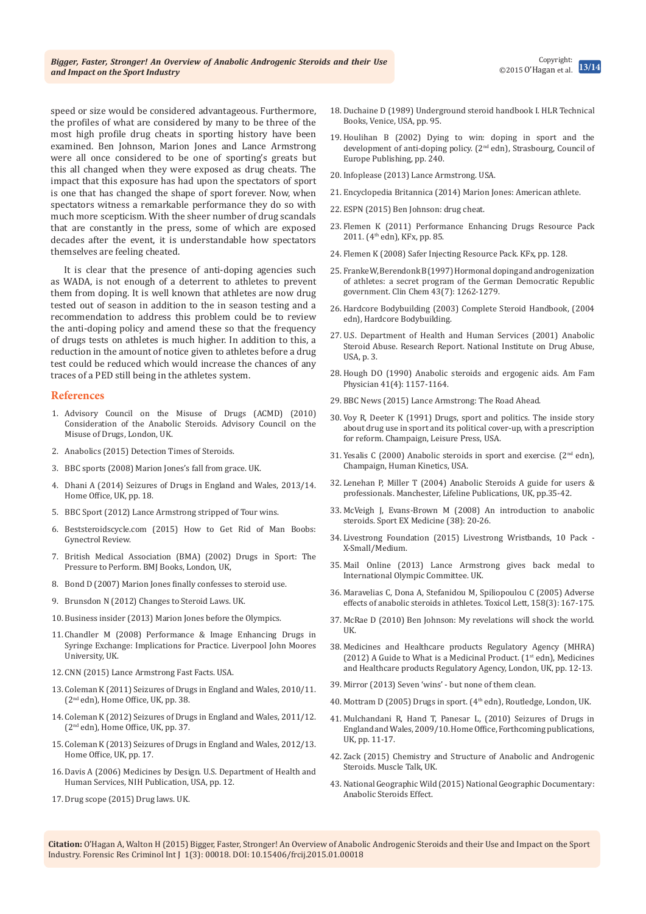speed or size would be considered advantageous. Furthermore, the profiles of what are considered by many to be three of the most high profile drug cheats in sporting history have been examined. Ben Johnson, Marion Jones and Lance Armstrong [Books, Venice, USA, pp. 95.](http://www.anasci.org/ebooks/USH%20II.pdf) Europe Publishing, pp. 240.

were all once considered to be one of sporting's greats but this all changed when they were exposed as drug cheats. The impact that this exposure has had upon the spectators of sport is one that has changed the shape of sport forever. Now, when spectators witness a remarkable performance they do so with much more scepticism. With the sheer number of drug scandals that are constantly in the press, some of which are exposed decades after the event, it is understandable how spectators themselves are feeling cheated.

It is clear that the presence of anti-doping agencies such as WADA, is not enough of a deterrent to athletes to prevent them from doping. It is well known that athletes are now drug tested out of season in addition to the in season testing and a recommendation to address this problem could be to review the anti-doping policy and amend these so that the frequency of drugs tests on athletes is much higher. In addition to this, a reduction in the amount of notice given to athletes before a drug test could be reduced which would increase the chances of any traces of a PED still being in the athletes system.

#### **References**

- 1. [Advisory Council on the Misuse of Drugs \(ACMD\) \(2010\)](https://www.gov.uk/government/uploads/system/uploads/attachment_data/file/119132/anabolic-steroids.pdf)  [Consideration of the Anabolic Steroids. Advisory Council on the](https://www.gov.uk/government/uploads/system/uploads/attachment_data/file/119132/anabolic-steroids.pdf)  [Misuse of Drugs, London, UK.](https://www.gov.uk/government/uploads/system/uploads/attachment_data/file/119132/anabolic-steroids.pdf)
- 2. Anabolics (2015) Detection Times of Steroids.
- 3. [BBC sports \(2008\) Marion Jones's fall from grace. UK.](http://news.bbc.co.uk/sport2/hi/athletics/7184067.stm)
- 4. [Dhani A \(2014\) Seizures of Drugs in England and Wales, 2013/14.](https://www.gov.uk/government/uploads/system/uploads/attachment_data/file/367761/hosb0314.pdf)  [Home Office, UK, pp. 18.](https://www.gov.uk/government/uploads/system/uploads/attachment_data/file/367761/hosb0314.pdf)
- 5. [BBC Sport \(2012\) Lance Armstrong stripped of Tour wins.](http://www.bbc.com/sport/0/cycling/20008520)
- 6. [Beststeroidscycle.com \(2015\) How to Get Rid of Man Boobs:](http://beststeroidscycle.com/how-to-get-rid-of-man-boobs-gynectrol-review/)  [Gynectrol Review.](http://beststeroidscycle.com/how-to-get-rid-of-man-boobs-gynectrol-review/)
- 7. British Medical Association (BMA) (2002) Drugs in Sport: The Pressure to Perform. BMJ Books, London, UK,
- 8. [Bond D \(2007\) Marion Jones finally confesses to steroid use.](http://www.telegraph.co.uk/sport/othersports/athletics/2322765/Marion-Jones-finally-confesses-to-steroid-use.html)
- 9. [Brunsdon N \(2012\) Changes to Steroid Laws. UK.](http://www.injectingadvice.com/v4/index.php/articles/harm-reduction-practice/188-changes-to-steroid-laws)
- 10. Business insider (2013) Marion Jones before the Olympics.
- 11. [Chandler M \(2008\) Performance & Image Enhancing Drugs in](http://docslide.us/documents/performance-5584aa328bdc7.html)  [Syringe Exchange: Implications for Practice. Liverpool John Moores](http://docslide.us/documents/performance-5584aa328bdc7.html)  [University, UK.](http://docslide.us/documents/performance-5584aa328bdc7.html)
- 12. [CNN \(2015\) Lance Armstrong Fast Facts. USA.](http://edition.cnn.com/2013/01/17/us/lance-armstrong-fast-facts/)
- 13. [Coleman K \(2011\) Seizures of Drugs in England and Wales, 2010/11.](https://www.gov.uk/government/uploads/system/uploads/attachment_data/file/115735/hosb1711.pdf)  (2nd [edn\), Home Office, UK, pp. 38.](https://www.gov.uk/government/uploads/system/uploads/attachment_data/file/115735/hosb1711.pdf)
- 14. [Coleman K \(2012\) Seizures of Drugs in England and Wales, 2011/12.](https://www.gov.uk/government/uploads/system/uploads/attachment_data/file/115767/hosb1212.pdf)  (2nd [edn\), Home Office, UK, pp. 37.](https://www.gov.uk/government/uploads/system/uploads/attachment_data/file/115767/hosb1212.pdf)
- 15. [Coleman K \(2013\) Seizures of Drugs in England and Wales, 2012/13.](https://www.gov.uk/government/uploads/system/uploads/attachment_data/file/254123/1213_seizure_drugs_statistical_bulletin.pdf)  [Home Office, UK, pp. 17.](https://www.gov.uk/government/uploads/system/uploads/attachment_data/file/254123/1213_seizure_drugs_statistical_bulletin.pdf)
- 16. [Davis A \(2006\) Medicines by Design. U.S. Department of Health and](http://publications.nigms.nih.gov/medbydesign/medbydesign.pdf)  [Human Services, NIH Publication, USA, pp. 12.](http://publications.nigms.nih.gov/medbydesign/medbydesign.pdf)
- 17. [Drug scope \(2015\) Drug laws. UK.](http://drugscope.org.uk/what-are-the-uk-drug-laws/)
- 18. [Duchaine D \(1989\) Underground steroid handbook I. HLR Technical](http://www.anasci.org/ebooks/USH%20II.pdf)
- 19. Houlihan B (2002) Dying to win: doping in sport and the development of anti-doping policy. (2nd edn), Strasbourg, Council of
- 20. [Infoplease \(2013\) Lance Armstrong. USA.](http://www.infoplease.com/spot/lancearmstrong.html)
- 21. [Encyclopedia Britannica \(2014\) Marion Jones: American athlete.](http://www.britannica.com/biography/Marion-Jones)
- 22. [ESPN \(2015\) Ben Johnson: drug cheat.](http://en.espn.co.uk/onthisday/sport/story/283.html)
- 23. [Flemen K \(2011\) Performance Enhancing Drugs Resource Pack](http://www.kfx.org.uk/resources/ped11.pdf)  2011. (4<sup>th</sup> edn), KFx, pp. 85.
- 24. [Flemen K \(2008\) Safer Injecting Resource Pack. KFx, pp. 128.](http://www.kfx.org.uk/resources/nx08.pdf)
- 25. [Franke W, Berendonk B \(1997\) Hormonal doping and androgenization](http://www.ncbi.nlm.nih.gov/pubmed/9216474)  [of athletes: a secret program of the German Democratic Republic](http://www.ncbi.nlm.nih.gov/pubmed/9216474)  [government. Clin Chem 43\(7\): 1262-1279.](http://www.ncbi.nlm.nih.gov/pubmed/9216474)
- 26. Hardcore Bodybuilding (2003) Complete Steroid Handbook, (2004 edn), Hardcore Bodybuilding.
- 27. [U.S. Department of Health and Human Services \(2001\) Anabolic](http://www.drugabuse.gov/sites/default/files/rrsteroids_0.pdf)  [Steroid Abuse. Research Report. National Institute on Drug Abuse,](http://www.drugabuse.gov/sites/default/files/rrsteroids_0.pdf)  [USA, p. 3.](http://www.drugabuse.gov/sites/default/files/rrsteroids_0.pdf)
- 28. [Hough DO \(1990\) Anabolic steroids and ergogenic aids. Am Fam](http://www.ncbi.nlm.nih.gov/pubmed/2181832)  [Physician 41\(4\): 1157-1164.](http://www.ncbi.nlm.nih.gov/pubmed/2181832)
- 29. [BBC News \(2015\) Lance Armstrong: The Road Ahead.](http://www.bbc.co.uk/programmes/b052mjkd)
- 30. [Voy R, Deeter K \(1991\) Drugs, sport and politics. The inside story](http://www.worldcat.org/title/drugs-sport-and-politics/oclc/21873349)  [about drug use in sport and its political cover-up, with a prescription](http://www.worldcat.org/title/drugs-sport-and-politics/oclc/21873349)  [for reform. Champaign, Leisure Press, USA.](http://www.worldcat.org/title/drugs-sport-and-politics/oclc/21873349)
- 31. Yesalis C (2000) Anabolic steroids in sport and exercise. (2<sup>nd</sup> edn), [Champaign, Human Kinetics, USA.](http://www.humankinetics.com/products/all-products/anabolic-steroids-in-sport-and-exercise---2nd)
- 32. [Lenehan P, Miller T \(2004\) Anabolic Steroids A guide for users &](http://lx.iriss.org.uk/sites/default/files/resources/Anabolic%20steroids.pdf)  [professionals. Manchester, Lifeline Publications, UK, pp.35-42.](http://lx.iriss.org.uk/sites/default/files/resources/Anabolic%20steroids.pdf)
- 33. McVeigh J, Evans-Brown M (2008) An introduction to anabolic steroids. Sport EX Medicine (38): 20-26.
- 34. [Livestrong Foundation \(2015\) Livestrong Wristbands, 10 Pack](http://store.livestrong.org/lf-wb-1002-10.html)  [X-Small/Medium.](http://store.livestrong.org/lf-wb-1002-10.html)
- 35. [Mail Online \(2013\) Lance Armstrong gives back medal to](http://www.dailymail.co.uk/news/article-2441770/Lance-Armstrong-gives-medal-International-Olympic-Committee.html)  [International Olympic Committee. UK.](http://www.dailymail.co.uk/news/article-2441770/Lance-Armstrong-gives-medal-International-Olympic-Committee.html)
- 36. [Maravelias C, Dona A, Stefanidou M, Spiliopoulou C \(2005\) Adverse](http://www.ncbi.nlm.nih.gov/pubmed/16005168)  [effects of anabolic steroids in athletes. Toxicol Lett, 158\(3\): 167-175.](http://www.ncbi.nlm.nih.gov/pubmed/16005168)
- 37. [McRae D \(2010\) Ben Johnson: My revelations will shock the world.](http://www.theguardian.com/sport/2010/oct/05/ben-johnson-drugs-olympics)  [UK.](http://www.theguardian.com/sport/2010/oct/05/ben-johnson-drugs-olympics)
- 38. [Medicines and Healthcare products Regulatory Agency \(MHRA\)](https://www.gov.uk/government/uploads/system/uploads/attachment_data/file/398998/A_guide_to_what_is_a_medicinal_product.pdf)  (2012) A Guide to What is a Medicinal Product. ( $1<sup>st</sup>$  edn), Medicines [and Healthcare products Regulatory Agency, London, UK, pp. 12-13.](https://www.gov.uk/government/uploads/system/uploads/attachment_data/file/398998/A_guide_to_what_is_a_medicinal_product.pdf)
- 39. [Mirror \(2013\) Seven 'wins' but none of them clean.](http://www.mirror.co.uk/news/world-news/lance-armstrongs-oprah-apology-has-made-1543578)
- 40. Mottram D (2005) Drugs in sport. (4<sup>th</sup> edn), Routledge, London, UK.
- 41. [Mulchandani R, Hand T, Panesar L, \(2010\) Seizures of Drugs in](https://www.gov.uk/government/uploads/system/uploads/attachment_data/file/115741/hosb1710.pdf)  [England and Wales, 2009/10. Home Office, Forthcoming publications,](https://www.gov.uk/government/uploads/system/uploads/attachment_data/file/115741/hosb1710.pdf)  [UK, pp. 11-17.](https://www.gov.uk/government/uploads/system/uploads/attachment_data/file/115741/hosb1710.pdf)
- 42. [Zack \(2015\) Chemistry and Structure of Anabolic and Androgenic](http://www.muscletalk.co.uk/articles/article-steroid-chemistry.aspx)  [Steroids. Muscle Talk, UK.](http://www.muscletalk.co.uk/articles/article-steroid-chemistry.aspx)
- 43. [National Geographic Wild \(2015\) National Geographic Documentary:](http://www.you2repeat.com/watch/?v=dDpGc2IIwX8)  [Anabolic Steroids Effect.](http://www.you2repeat.com/watch/?v=dDpGc2IIwX8)